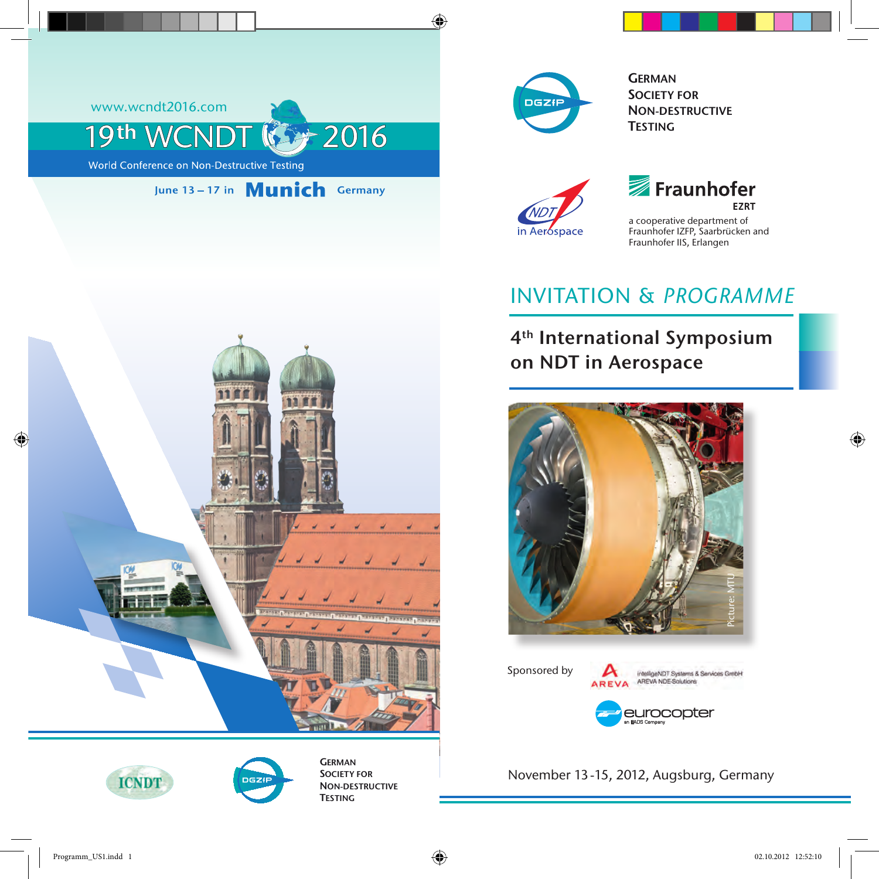



**GERMAN** SOCIETY FOR NON-DESTRUCTIVE **TESTING** 



# Fraunhofer **FZRT**

a cooperative department of Fraunhofer IZFP, Saarbrücken and Fraunhofer IIS, Erlangen

# Invitation & *Programme*

4th International Symposium on NDT in Aerospace



Sponsored by

A intelligeNDT Systems & Services GmbH AREVA AREVA NDE-Solutions



November 13-15, 2012, Augsburg, Germany







**GERMAN** SOCIETY FOR NON-DESTRUCTIVE **TESTING**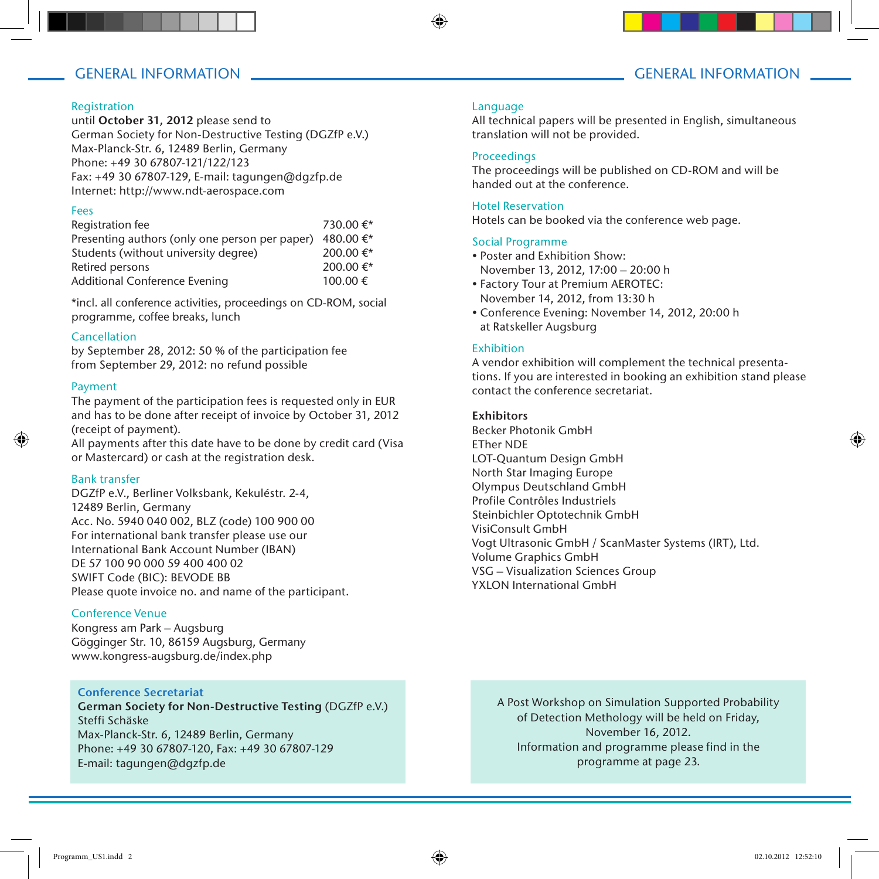# GENERAL INFORMATION GENERAL INFORMATION

#### Registration

until October 31, 2012 please send to German Society for Non-Destructive Testing (DGZfP e.V.) Max-Planck-Str. 6, 12489 Berlin, Germany Phone: +49 30 67807-121/122/123 Fax: +49 30 67807-129, E-mail: tagungen@dgzfp.de Internet: http://www.ndt-aerospace.com

#### Fees

| Registration fee                               | 730.00 €* |
|------------------------------------------------|-----------|
| Presenting authors (only one person per paper) | 480.00 €* |
| Students (without university degree)           | 200.00 €* |
| Retired persons                                | 200.00 €* |
| <b>Additional Conference Evening</b>           | 100.00€   |

\*incl. all conference activities, proceedings on CD-ROM, social programme, coffee breaks, lunch

#### Cancellation

by September 28, 2012: 50 % of the participation fee from September 29, 2012: no refund possible

#### Payment

The payment of the participation fees is requested only in EUR and has to be done after receipt of invoice by October 31, 2012 (receipt of payment).

All payments after this date have to be done by credit card (Visa or Mastercard) or cash at the registration desk.

#### Bank transfer

DGZfP e.V., Berliner Volksbank, Kekuléstr. 2-4, 12489 Berlin, Germany Acc. No. 5940 040 002, BLZ (code) 100 900 00 For international bank transfer please use our International Bank Account Number (IBAN) DE 57 100 90 000 59 400 400 02 SWIFT Code (BIC): BEVODE BB Please quote invoice no. and name of the participant.

#### Conference Venue

Kongress am Park – Augsburg Gögginger Str. 10, 86159 Augsburg, Germany www.kongress-augsburg.de/index.php

#### Conference Secretariat

German Society for Non-Destructive Testing (DGZfP e.V.) Steffi Schäske Max-Planck-Str. 6, 12489 Berlin, Germany Phone: +49 30 67807-120, Fax: +49 30 67807-129 E-mail: tagungen@dgzfp.de

#### Language

All technical papers will be presented in English, simultaneous translation will not be provided.

#### **Proceedings**

The proceedings will be published on CD-ROM and will be handed out at the conference.

#### Hotel Reservation

Hotels can be booked via the conference web page.

#### Social Programme

- Poster and Exhibition Show: November 13, 2012, 17:00 – 20:00 h
- Factory Tour at Premium AEROTEC: November 14, 2012, from 13:30 h
- Conference Evening: November 14, 2012, 20:00 h at Ratskeller Augsburg

#### Exhibition

A vendor exhibition will complement the technical presentations. If you are interested in booking an exhibition stand please contact the conference secretariat.

#### **Exhibitors**

Becker Photonik GmbH ETher NDE LOT-Quantum Design GmbH North Star Imaging Europe Olympus Deutschland GmbH Profile Contrôles Industriels Steinbichler Optotechnik GmbH VisiConsult GmbH Vogt Ultrasonic GmbH / ScanMaster Systems (IRT), Ltd. Volume Graphics GmbH VSG – Visualization Sciences Group YXLON International GmbH

A Post Workshop on Simulation Supported Probability of Detection Methology will be held on Friday, November 16, 2012. Information and programme please find in the programme at page 23.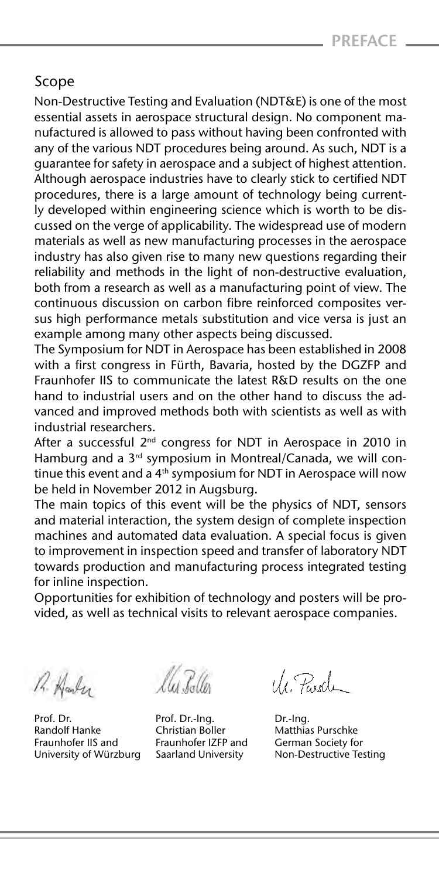# Scope

Non-Destructive Testing and Evaluation (NDT&E) is one of the most essential assets in aerospace structural design. No component manufactured is allowed to pass without having been confronted with any of the various NDT procedures being around. As such, NDT is a guarantee for safety in aerospace and a subject of highest attention. Although aerospace industries have to clearly stick to certified NDT procedures, there is a large amount of technology being currently developed within engineering science which is worth to be discussed on the verge of applicability. The widespread use of modern materials as well as new manufacturing processes in the aerospace industry has also given rise to many new questions regarding their reliability and methods in the light of non-destructive evaluation, both from a research as well as a manufacturing point of view. The continuous discussion on carbon fibre reinforced composites versus high performance metals substitution and vice versa is just an example among many other aspects being discussed.

The Symposium for NDT in Aerospace has been established in 2008 with a first congress in Fürth, Bavaria, hosted by the DGZFP and Fraunhofer IIS to communicate the latest R&D results on the one hand to industrial users and on the other hand to discuss the advanced and improved methods both with scientists as well as with industrial researchers.

After a successful  $2^{nd}$  congress for NDT in Aerospace in 2010 in Hamburg and a 3<sup>rd</sup> symposium in Montreal/Canada, we will continue this event and a  $4<sup>th</sup>$  symposium for NDT in Aerospace will now be held in November 2012 in Augsburg.

The main topics of this event will be the physics of NDT, sensors and material interaction, the system design of complete inspection machines and automated data evaluation. A special focus is given to improvement in inspection speed and transfer of laboratory NDT towards production and manufacturing process integrated testing for inline inspection.

Opportunities for exhibition of technology and posters will be provided, as well as technical visits to relevant aerospace companies.

R. Harley

Prof. Dr. Co. Dr.-Ing. Prof. Dr.-Ing. 2015. Prof. Dr.-Ing.<br>Randolf Hanke Christian Boller Matthia Randolf Hanke Christian Boller Matthias Purschke Fraunhofer IIS and Fraunhofer IZFP and<br>University of Würzburg Saarland University

U Pardi

Saarland University Non-Destructive Testing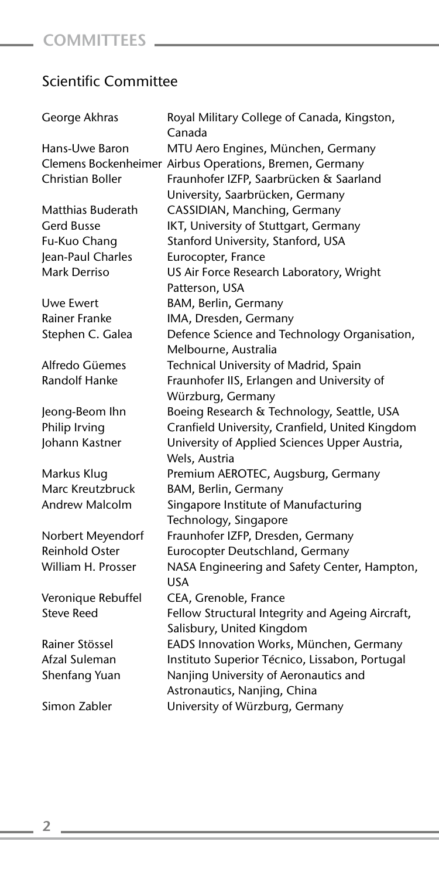# Scientific Committee

| George Akhras         | Royal Military College of Canada, Kingston,<br>Canada   |
|-----------------------|---------------------------------------------------------|
| Hans-Uwe Baron        | MTU Aero Engines, München, Germany                      |
|                       | Clemens Bockenheimer Airbus Operations, Bremen, Germany |
| Christian Boller      | Fraunhofer IZFP, Saarbrücken & Saarland                 |
|                       | University, Saarbrücken, Germany                        |
| Matthias Buderath     | CASSIDIAN, Manching, Germany                            |
| Gerd Busse            | IKT, University of Stuttgart, Germany                   |
| Fu-Kuo Chang          | Stanford University, Stanford, USA                      |
| Jean-Paul Charles     | Eurocopter, France                                      |
| Mark Derriso          | US Air Force Research Laboratory, Wright                |
|                       | Patterson, USA                                          |
| Uwe Ewert             | BAM, Berlin, Germany                                    |
| Rainer Franke         | IMA, Dresden, Germany                                   |
| Stephen C. Galea      | Defence Science and Technology Organisation,            |
|                       | Melbourne, Australia                                    |
| Alfredo Güemes        | Technical University of Madrid, Spain                   |
| <b>Randolf Hanke</b>  | Fraunhofer IIS, Erlangen and University of              |
|                       | Würzburg, Germany                                       |
| Jeong-Beom Ihn        | Boeing Research & Technology, Seattle, USA              |
| Philip Irving         | Cranfield University, Cranfield, United Kingdom         |
| Johann Kastner        | University of Applied Sciences Upper Austria,           |
|                       | Wels, Austria                                           |
| Markus Klug           | Premium AEROTEC, Augsburg, Germany                      |
| Marc Kreutzbruck      | BAM, Berlin, Germany                                    |
| Andrew Malcolm        | Singapore Institute of Manufacturing                    |
|                       | Technology, Singapore                                   |
| Norbert Meyendorf     | Fraunhofer IZFP, Dresden, Germany                       |
| <b>Reinhold Oster</b> | Eurocopter Deutschland, Germany                         |
| William H. Prosser    | NASA Engineering and Safety Center, Hampton,            |
|                       | USA                                                     |
| Veronique Rebuffel    | CEA, Grenoble, France                                   |
| <b>Steve Reed</b>     | Fellow Structural Integrity and Ageing Aircraft,        |
|                       | Salisbury, United Kingdom                               |
| Rainer Stössel        | EADS Innovation Works, München, Germany                 |
| Afzal Suleman         | Instituto Superior Técnico, Lissabon, Portugal          |
| Shenfang Yuan         | Nanjing University of Aeronautics and                   |
|                       | Astronautics, Nanjing, China                            |
| Simon Zabler          | University of Würzburg, Germany                         |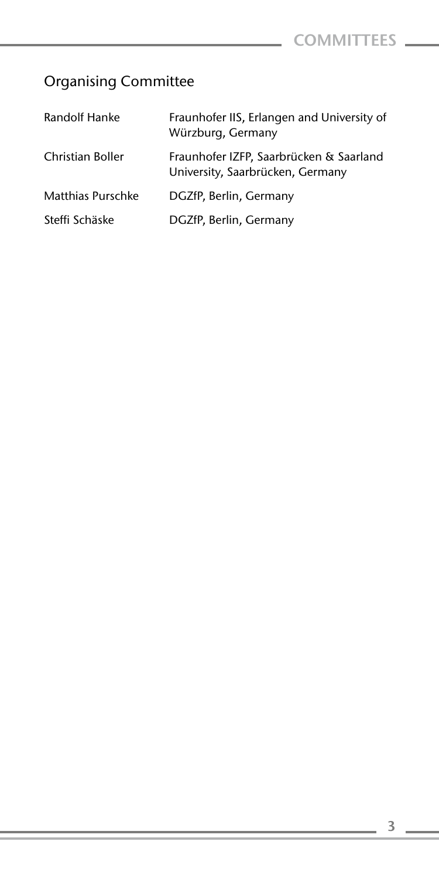# Organising Committee

| Randolf Hanke            | Fraunhofer IIS, Erlangen and University of<br>Würzburg, Germany             |
|--------------------------|-----------------------------------------------------------------------------|
| Christian Boller         | Fraunhofer IZFP, Saarbrücken & Saarland<br>University, Saarbrücken, Germany |
| <b>Matthias Purschke</b> | DGZfP, Berlin, Germany                                                      |
| Steffi Schäske           | DGZfP, Berlin, Germany                                                      |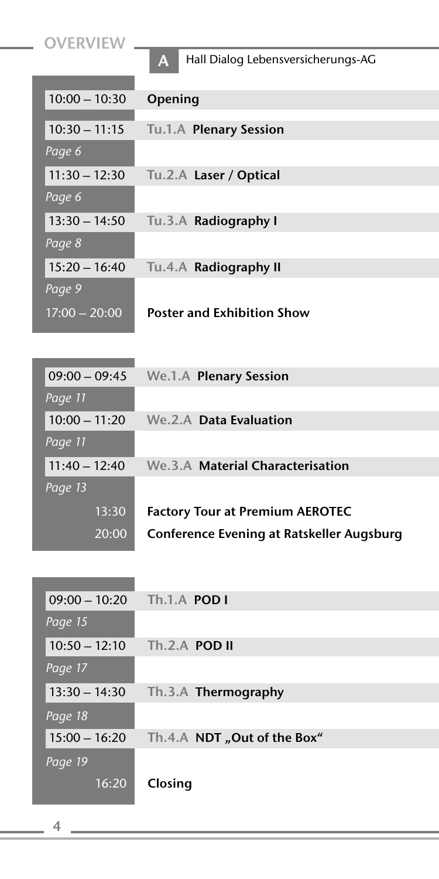**OVERVIEW** 

A Hall Dialog Lebensversicherungs-AG

| $10:00 - 10:30$ | Opening                           |
|-----------------|-----------------------------------|
| $10:30 - 11:15$ | Tu.1.A Plenary Session            |
| Page 6          |                                   |
| $11:30 - 12:30$ | Tu.2.A Laser / Optical            |
| Page 6          |                                   |
| $13:30 - 14:50$ | Tu.3.A Radiography I              |
| Page 8          |                                   |
| $15:20 - 16:40$ | Tu.4.A Radiography II             |
| Page 9          |                                   |
| $17:00 - 20:00$ | <b>Poster and Exhibition Show</b> |
|                 |                                   |

| $09:00 - 09:45$ | We.1.A Plenary Session                    |
|-----------------|-------------------------------------------|
| Page 11         |                                           |
| $10:00 - 11:20$ | We.2.A Data Evaluation                    |
| Page 11         |                                           |
| $11:40 - 12:40$ | We.3.A Material Characterisation          |
| Page 13         |                                           |
| 13:30           | <b>Factory Tour at Premium AEROTEC</b>    |
| 20:00           | Conference Evening at Ratskeller Augsburg |

| $09:00 - 10:20$ | Th.1.A POD I                |
|-----------------|-----------------------------|
| Page 15         |                             |
| $10:50 - 12:10$ | $Th.2.A$ POD II             |
| Page 17         |                             |
| $13:30 - 14:30$ | Th.3.A Thermography         |
| Page 18         |                             |
| $15:00 - 16:20$ | Th.4.A NDT "Out of the Box" |
| Page 19         |                             |
| 16:20           | Closing                     |
|                 |                             |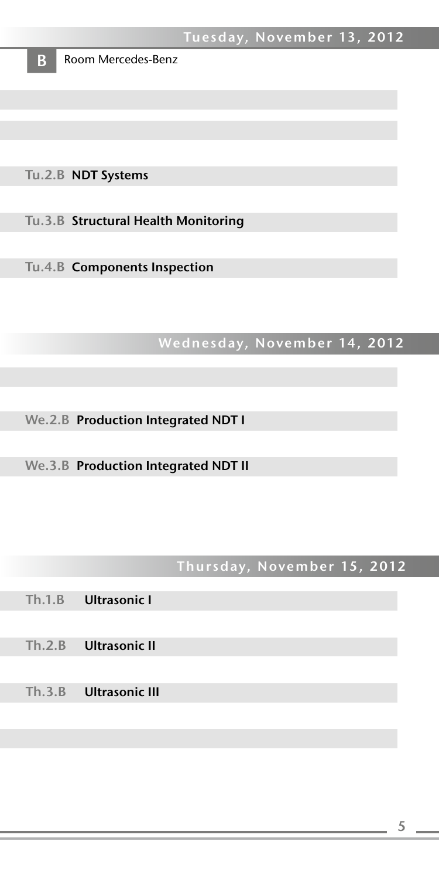

**B** Room Mercedes-Benz

Tu.2.B NDT Systems

Tu.3.B Structural Health Monitoring

Tu.4.B Components Inspection

# Wednesday, November 14, 2012

We.2.B Production Integrated NDT I

We.3.B Production Integrated NDT II

# Thursday, November 15, 2012

- Th.1.B Ultrasonic I
- 10:50 10:50 Jultrasonic I
- 11.3.B Ultrasonic I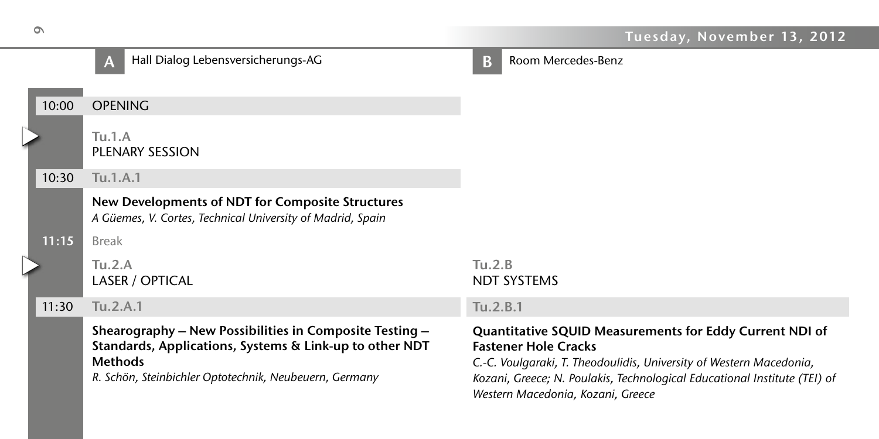

*R. Schön, Steinbichler Optotechnik, Neubeuern, Germany*

# **B** Room Mercedes-Benz

NDT Systems

#### Tu.2.B.1

### Quantitative SQUID Measurements for Eddy Current NDI of Fastener Hole Cracks

*C.-C. Voulgaraki, T. Theodoulidis, University of Western Macedonia, Kozani, Greece; N. Poulakis, Technological Educational Institute (TEI) of Western Macedonia, Kozani, Greece*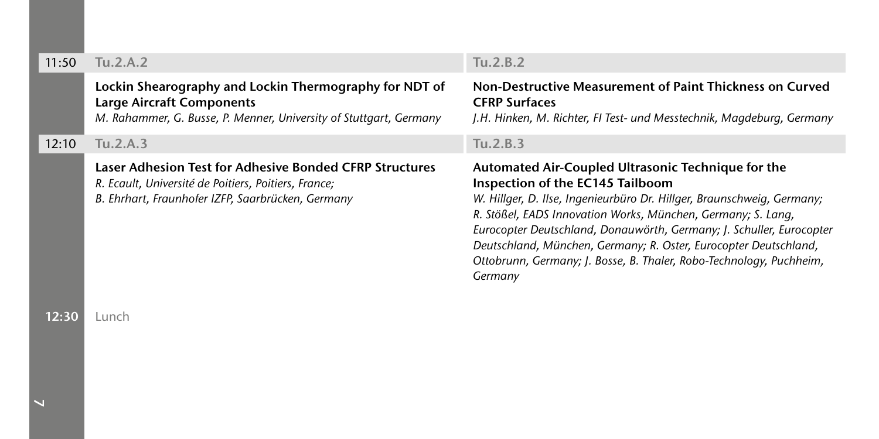#### 11:50 Tu.2.A.2

### Lockin Shearography and Lockin Thermography for NDT of Large Aircraft Components

*M. Rahammer, G. Busse, P. Menner, University of Stuttgart, Germany*

12:10 Tu.2.A.3

#### Laser Adhesion Test for Adhesive Bonded CFRP Structures

 *R. Ecault, Université de Poitiers, Poitiers, France; B. Ehrhart, Fraunhofer IZFP, Saarbrücken, Germany*

## Tu.2.B.2

#### Non-Destructive Measurement of Paint Thickness on Curved CFRP Surfaces

*J.H. Hinken, M. Richter, FI Test- und Messtechnik, Magdeburg, Germany*

#### Tu.2.B.3

#### Automated Air-Coupled Ultrasonic Technique for the Inspection of the EC145 Tailboom

*W. Hillger, D. Ilse, Ingenieurbüro Dr. Hillger, Braunschweig, Germany; R. Stößel, EADS Innovation Works, München, Germany; S. Lang, Eurocopter Deutschland, Donauwörth, Germany; J. Schuller, Eurocopter Deutschland, München, Germany; R. Oster, Eurocopter Deutschland, Ottobrunn, Germany; J. Bosse, B. Thaler, Robo-Technology, Puchheim, Germany*

12:30 Lunch

 $\overline{\phantom{a}}$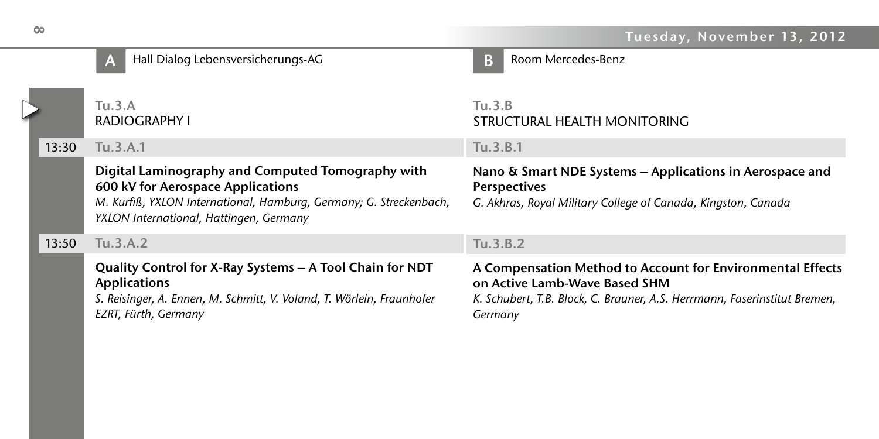#### Tuesday, November 13, 2012

 $\triangleright$ 

# Tu.3.A Radiography I 13:30 Tu.3.A.1 A Hall Dialog Lebensversicherungs-AG BB

## Digital Laminography and Computed Tomography with 600 kV for Aerospace Applications

M. Kurfiß, YXLON International, Hamburg, Germany; G. Streckenbach, YXLON International, Hattingen, Germany

#### 13:50 Tu.3.A.2

 Quality Control for X-Ray Systems – A Tool Chain for NDT Applications

*S. Reisinger, A. Ennen, M. Schmitt, V. Voland, T. Wörlein, Fraunhofer EZRT, Fürth, Germany*

# Room Mercedes-Benz

# Tu.3.B STRUCTURAL HEALTH MONITORING

### Tu.3.B.1

#### Nano & Smart NDE Systems – Applications in Aerospace and Perspectives

*G. Akhras, Royal Military College of Canada, Kingston, Canada* 

# Tu.3.B.2

# A Compensation Method to Account for Environmental Effects on Active Lamb-Wave Based SHM

*K. Schubert, T.B. Block, C. Brauner, A.S. Herrmann, Faserinstitut Bremen, Germany*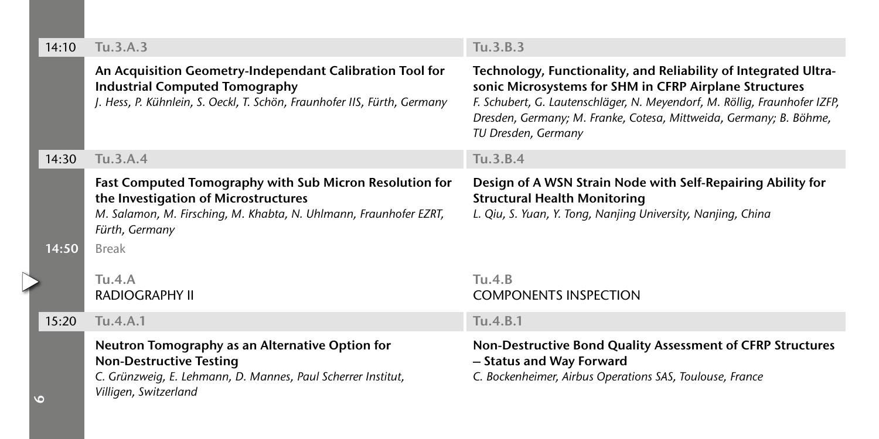| 14:10 | Tu.3.A.3                                                                                                                                                                                               | Tu.3.B.3                                                                                                                                                                                                                                                                                            |
|-------|--------------------------------------------------------------------------------------------------------------------------------------------------------------------------------------------------------|-----------------------------------------------------------------------------------------------------------------------------------------------------------------------------------------------------------------------------------------------------------------------------------------------------|
|       | An Acquisition Geometry-Independant Calibration Tool for<br><b>Industrial Computed Tomography</b><br>J. Hess, P. Kühnlein, S. Oeckl, T. Schön, Fraunhofer IIS, Fürth, Germany                          | Technology, Functionality, and Reliability of Integrated Ultra-<br>sonic Microsystems for SHM in CFRP Airplane Structures<br>F. Schubert, G. Lautenschläger, N. Meyendorf, M. Röllig, Fraunhofer IZFP,<br>Dresden, Germany; M. Franke, Cotesa, Mittweida, Germany; B. Böhme,<br>TU Dresden, Germany |
| 14:30 | Tu.3.A.4                                                                                                                                                                                               | Tu.3.B.4                                                                                                                                                                                                                                                                                            |
| 14:50 | Fast Computed Tomography with Sub Micron Resolution for<br>the Investigation of Microstructures<br>M. Salamon, M. Firsching, M. Khabta, N. Uhlmann, Fraunhofer EZRT,<br>Fürth, Germany<br><b>Break</b> | Design of A WSN Strain Node with Self-Repairing Ability for<br><b>Structural Health Monitoring</b><br>L. Qiu, S. Yuan, Y. Tong, Nanjing University, Nanjing, China                                                                                                                                  |
|       | Tu.4.A<br><b>RADIOGRAPHY II</b>                                                                                                                                                                        | Tu.4.B<br><b>COMPONENTS INSPECTION</b>                                                                                                                                                                                                                                                              |
| 15:20 | Tu.4.A.1                                                                                                                                                                                               | Tu.4.B.1                                                                                                                                                                                                                                                                                            |
| O     | Neutron Tomography as an Alternative Option for<br><b>Non-Destructive Testing</b><br>C. Grünzweig, E. Lehmann, D. Mannes, Paul Scherrer Institut,<br>Villigen, Switzerland                             | Non-Destructive Bond Quality Assessment of CFRP Structures<br>- Status and Way Forward<br>C. Bockenheimer, Airbus Operations SAS, Toulouse, France                                                                                                                                                  |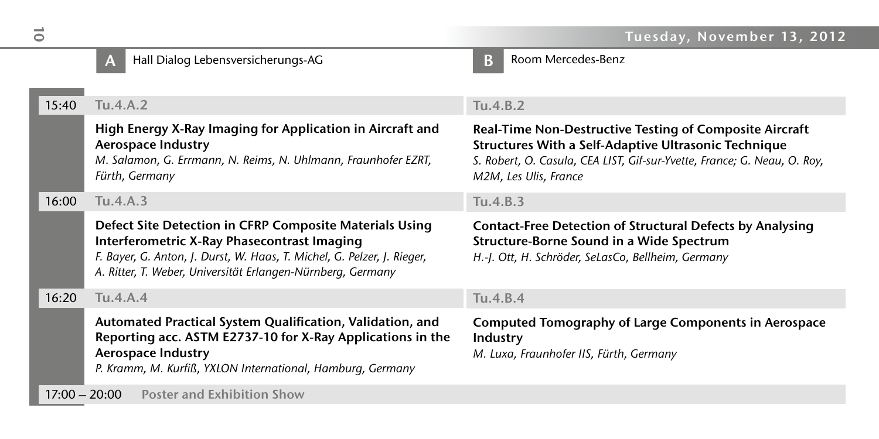# A Hall Dialog Lebensversicherungs-AG National Bunder Bunder

Room Mercedes-Benz

# 15:40 Tu.4.A.2 High Energy X-Ray Imaging for Application in Aircraft and Aerospace Industry *M. Salamon, G. Errmann, N. Reims, N. Uhlmann, Fraunhofer EZRT, Fürth, Germany* 16:00 Tu.4.A.3

#### Defect Site Detection in CFRP Composite Materials Using Interferometric X-Ray Phasecontrast Imaging

*F. Bayer, G. Anton, J. Durst, W. Haas, T. Michel, G. Pelzer, J. Rieger, A. Ritter, T. Weber, Universität Erlangen-Nürnberg, Germany*

16:20 Tu.4.A.4

Automated Practical System Qualification, Validation, and Reporting acc. ASTM E2737-10 for X-Ray Applications in the Aerospace Industry P. Kramm, M. Kurfiß, YXLON International, Hamburg, Germany

 $17:00 - 20:00$ Poster and Exhibition Show

## Tu.4.B.2

#### Real-Time Non-Destructive Testing of Composite Aircraft Structures With a Self-Adaptive Ultrasonic Technique S. Robert, O. Casula, CEA LIST, Gif-sur-Yvette, France; G. Neau, O. Roy, *M2M, Les Ulis, France*

## Tu.4.B.3

#### Contact-Free Detection of Structural Defects by Analysing Structure-Borne Sound in a Wide Spectrum

*H.-J. Ott, H. Schröder, SeLasCo, Bellheim, Germany* 

## Tu.4.B.4

## Computed Tomography of Large Components in Aerospace Industry

*M. Luxa, Fraunhofer IIS, Fürth, Germany*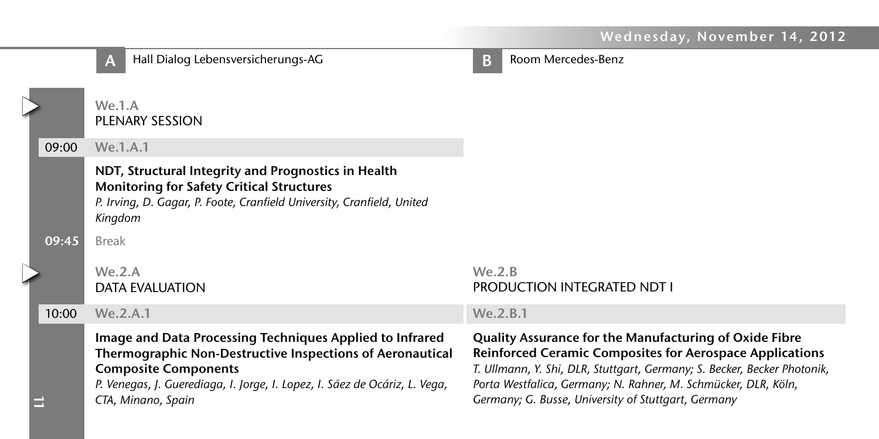# Wednesday, November 14, 2012

|       | Hall Dialog Lebensversicherungs-AG<br>A                                                                                                                                                                                                                  | В        | Room Mercedes-Benz                                                                                                                                                                                                                                                                                                                    |
|-------|----------------------------------------------------------------------------------------------------------------------------------------------------------------------------------------------------------------------------------------------------------|----------|---------------------------------------------------------------------------------------------------------------------------------------------------------------------------------------------------------------------------------------------------------------------------------------------------------------------------------------|
|       | We.1.A<br><b>PLENARY SESSION</b>                                                                                                                                                                                                                         |          |                                                                                                                                                                                                                                                                                                                                       |
| 09:00 | We.1.A.1                                                                                                                                                                                                                                                 |          |                                                                                                                                                                                                                                                                                                                                       |
|       | NDT, Structural Integrity and Prognostics in Health<br><b>Monitoring for Safety Critical Structures</b><br>P. Irving, D. Gagar, P. Foote, Cranfield University, Cranfield, United<br>Kingdom                                                             |          |                                                                                                                                                                                                                                                                                                                                       |
| 09:45 | <b>Break</b>                                                                                                                                                                                                                                             |          |                                                                                                                                                                                                                                                                                                                                       |
|       | We.2.A<br><b>DATA EVALUATION</b>                                                                                                                                                                                                                         | We. 2.B. | <b>PRODUCTION INTEGRATED NDT I</b>                                                                                                                                                                                                                                                                                                    |
| 10:00 | We.2.A.1                                                                                                                                                                                                                                                 | We.2.B.1 |                                                                                                                                                                                                                                                                                                                                       |
|       | Image and Data Processing Techniques Applied to Infrared<br>Thermographic Non-Destructive Inspections of Aeronautical<br><b>Composite Components</b><br>P. Venegas, J. Guerediaga, I. Jorge, I. Lopez, I. Sáez de Ocáriz, L. Vega,<br>CTA, Minano, Spain |          | <b>Quality Assurance for the Manufacturing of Oxide Fibre</b><br><b>Reinforced Ceramic Composites for Aerospace Applications</b><br>T. Ullmann, Y. Shi, DLR, Stuttgart, Germany; S. Becker, Becker Photonik,<br>Porta Westfalica, Germany; N. Rahner, M. Schmücker, DLR, Köln,<br>Germany; G. Busse, University of Stuttgart, Germany |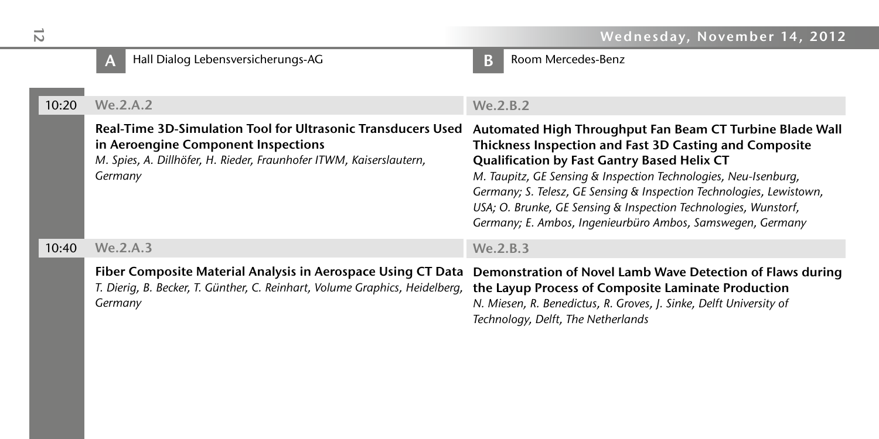|       | Hall Dialog Lebensversicherungs-AG<br>A                                                                                                                                               | Room Mercedes-Benz<br>B                                                                                                                                                                                                                                                                                                                                                                                                                       |
|-------|---------------------------------------------------------------------------------------------------------------------------------------------------------------------------------------|-----------------------------------------------------------------------------------------------------------------------------------------------------------------------------------------------------------------------------------------------------------------------------------------------------------------------------------------------------------------------------------------------------------------------------------------------|
| 10:20 | We.2.A.2                                                                                                                                                                              | We.2.B.2                                                                                                                                                                                                                                                                                                                                                                                                                                      |
|       | Real-Time 3D-Simulation Tool for Ultrasonic Transducers Used<br>in Aeroengine Component Inspections<br>M. Spies, A. Dillhöfer, H. Rieder, Fraunhofer ITWM, Kaiserslautern,<br>Germany | Automated High Throughput Fan Beam CT Turbine Blade Wall<br>Thickness Inspection and Fast 3D Casting and Composite<br>Qualification by Fast Gantry Based Helix CT<br>M. Taupitz, GE Sensing & Inspection Technologies, Neu-Isenburg,<br>Germany; S. Telesz, GE Sensing & Inspection Technologies, Lewistown,<br>USA; O. Brunke, GE Sensing & Inspection Technologies, Wunstorf,<br>Germany; E. Ambos, Ingenieurbüro Ambos, Samswegen, Germany |
| 10:40 | We.2.A.3                                                                                                                                                                              | We.2.B.3                                                                                                                                                                                                                                                                                                                                                                                                                                      |
|       | Fiber Composite Material Analysis in Aerospace Using CT Data<br>T. Dierig, B. Becker, T. Günther, C. Reinhart, Volume Graphics, Heidelberg,<br>Germany                                | Demonstration of Novel Lamb Wave Detection of Flaws during<br>the Layup Process of Composite Laminate Production<br>N. Miesen, R. Benedictus, R. Groves, J. Sinke, Delft University of<br>Technology, Delft, The Netherlands                                                                                                                                                                                                                  |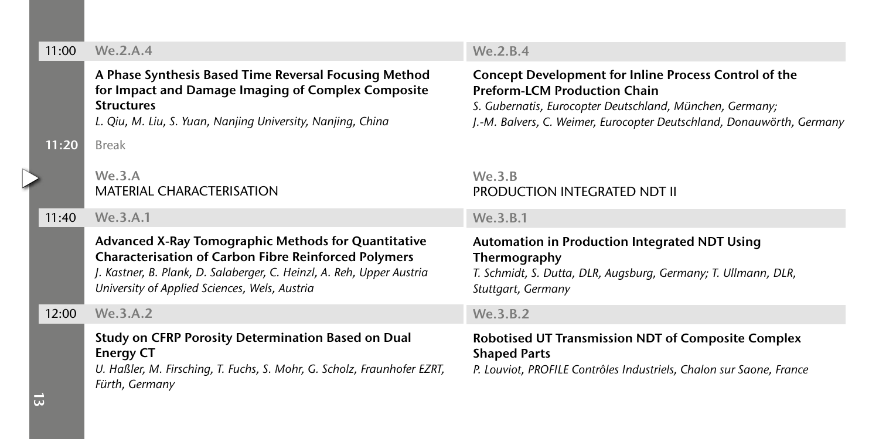#### 11:00 We.2.A.4

### A Phase Synthesis Based Time Reversal Focusing Method for Impact and Damage Imaging of Complex Composite Structures

L. Qiu, M. Liu, S. Yuan, Nanjing University, Nanjing, China

11:20 Break

 $\triangleright$ 

### We.3.A MATERIAL CHARACTERISATION

11:40 We.3.A.1

## Advanced X-Ray Tomographic Methods for Quantitative Characterisation of Carbon Fibre Reinforced Polymers *J. Kastner, B. Plank, D. Salaberger, C. Heinzl, A. Reh, Upper Austria*

*University of Applied Sciences, Wels, Austria*

12:00 We.3.A.2

```
 Study on CFRP Porosity Determination Based on Dual 
Energy CT
```
*U. Haßler, M. Firsching, T. Fuchs, S. Mohr, G. Scholz, Fraunhofer EZRT, Fürth, Germany*

# $W_P$  2 R 4

### Concept Development for Inline Process Control of the Preform-LCM Production Chain

*S. Gubernatis, Eurocopter Deutschland, München, Germany; J.-M. Balvers, C. Weimer, Eurocopter Deutschland, Donauwörth, Germany*

# We.3.B PRODUCTION INTEGRATED NDT II

We.3.B.1

#### Automation in Production Integrated NDT Using Thermography

*T. Schmidt, S. Dutta, DLR, Augsburg, Germany; T. Ullmann, DLR, Stuttgart, Germany*

#### $W_P$  3 R 2

## Robotised UT Transmission NDT of Composite Complex Shaped Parts

*P. Louviot, PROFILE Contrôles Industriels, Chalon sur Saone, France* 

 $\vec{a}$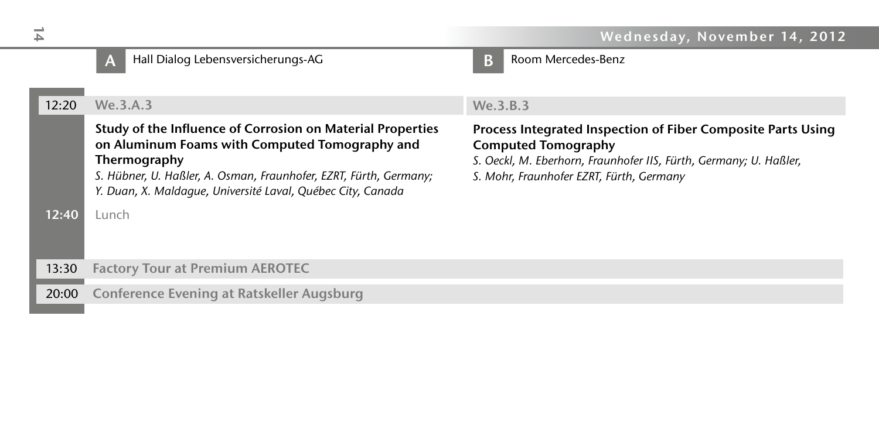# A Hall Dialog Lebensversicherungs-AG and a series of the B Room Mercedes-Benz

We.3.B.3 Process Integrated Inspection of Fiber Composite Parts Using Computed Tomography *S. Oeckl, M. Eberhorn, Fraunhofer IIS, Fürth, Germany; U. Haßler, S. Mohr, Fraunhofer EZRT, Fürth, Germany* 12:20 We.3.A.3 Study of the Influence of Corrosion on Material Properties on Aluminum Foams with Computed Tomography and Thermography *S. Hübner, U. Haßler, A. Osman, Fraunhofer, EZRT, Fürth, Germany;*  Y. Duan, X. Maldague, Université Laval, Québec City, Canada 12:40 Lunch 13:30 Factory Tour at Premium AEROTEC 20:00 Conference Evening at Ratskeller Augsburg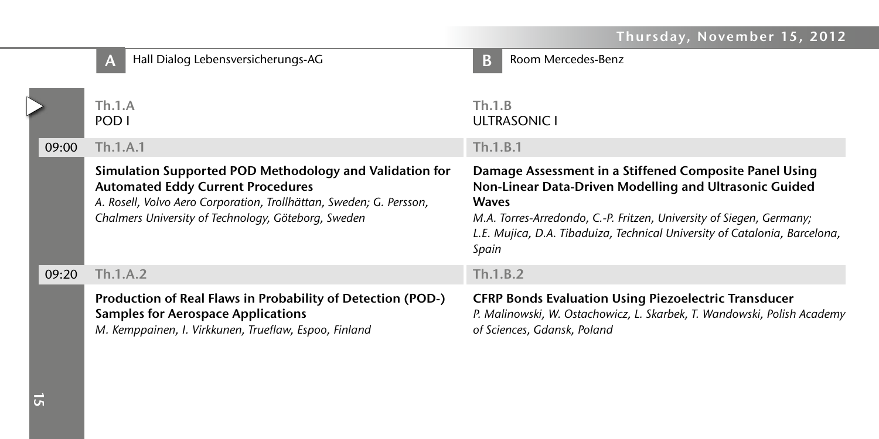# Thursday, November 15, 2012

|       | Hall Dialog Lebensversicherungs-AG<br>A                                                                                                                                                                                           | Room Mercedes-Benz<br>В                                                                                                                                                                                                                                                                         |
|-------|-----------------------------------------------------------------------------------------------------------------------------------------------------------------------------------------------------------------------------------|-------------------------------------------------------------------------------------------------------------------------------------------------------------------------------------------------------------------------------------------------------------------------------------------------|
| 09:00 | Th.1.A<br>POD I<br>Th.1.A.1                                                                                                                                                                                                       | Th.1.B<br>ULTRASONIC I<br>Th.1.B.1                                                                                                                                                                                                                                                              |
|       | Simulation Supported POD Methodology and Validation for<br><b>Automated Eddy Current Procedures</b><br>A. Rosell, Volvo Aero Corporation, Trollhättan, Sweden; G. Persson,<br>Chalmers University of Technology, Göteborg, Sweden | Damage Assessment in a Stiffened Composite Panel Using<br>Non-Linear Data-Driven Modelling and Ultrasonic Guided<br><b>Waves</b><br>M.A. Torres-Arredondo, C.-P. Fritzen, University of Siegen, Germany;<br>L.E. Mujica, D.A. Tibaduiza, Technical University of Catalonia, Barcelona,<br>Spain |
| 09:20 | Th.1.A.2                                                                                                                                                                                                                          | Th.1.B.2                                                                                                                                                                                                                                                                                        |
|       | Production of Real Flaws in Probability of Detection (POD-)<br><b>Samples for Aerospace Applications</b><br>M. Kemppainen, I. Virkkunen, Trueflaw, Espoo, Finland                                                                 | <b>CFRP Bonds Evaluation Using Piezoelectric Transducer</b><br>P. Malinowski, W. Ostachowicz, L. Skarbek, T. Wandowski, Polish Academy<br>of Sciences, Gdansk, Poland                                                                                                                           |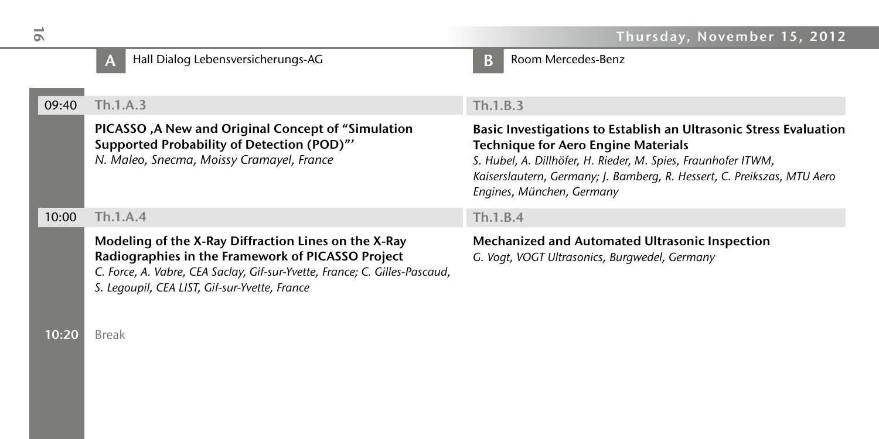# A Hall Dialog Lebensversicherungs-AG and a series of the B Room Mercedes-Benz

# 09:40 Th.1.A.3

 PICASSO ,A New and Original Concept of "Simulation Supported Probability of Detection (POD)"' *N. Maleo, Snecma, Moissy Cramayel, France* 

10:00 Th.1.A.4

 Modeling of the X-Ray Diffraction Lines on the X-Ray Radiographies in the Framework of PICASSO Project

C. Force, A. Vabre, CEA Saclay, Gif-sur-Yvette, France; C. Gilles-Pascaud, S. Legoupil, CEA LIST, Gif-sur-Yvette, France

10:20 Break

### Th.1.B.3

#### Basic Investigations to Establish an Ultrasonic Stress Evaluation Technique for Aero Engine Materials

*S. Hubel, A. Dillhöfer, H. Rieder, M. Spies, Fraunhofer ITWM, Kaiserslautern, Germany; J. Bamberg, R. Hessert, C. Preikszas, MTU Aero Engines, München, Germany*

#### Th.1.B.4

# Mechanized and Automated Ultrasonic Inspection

*G. Vogt, VOGT Ultrasonics, Burgwedel, Germany*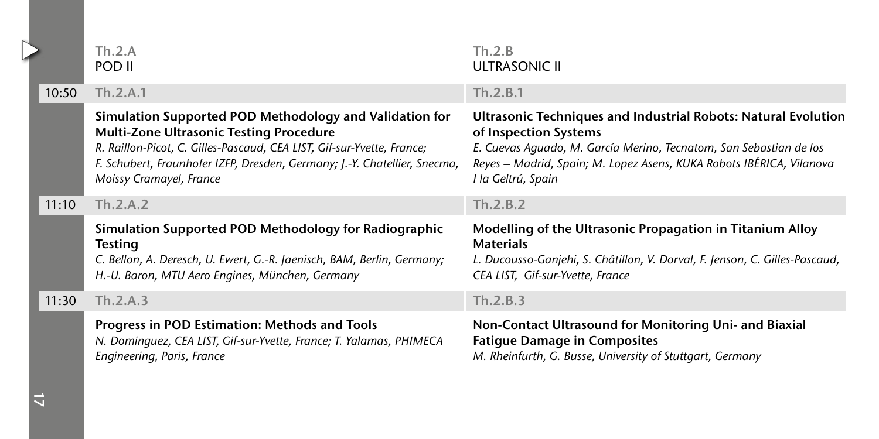|  |       | Th.2.A<br>POD II                                                                                                                                                                                                                                                                     | Th.2.B<br><b>ULTRASONIC II</b>                                                                                                                                                                                                                              |
|--|-------|--------------------------------------------------------------------------------------------------------------------------------------------------------------------------------------------------------------------------------------------------------------------------------------|-------------------------------------------------------------------------------------------------------------------------------------------------------------------------------------------------------------------------------------------------------------|
|  | 10:50 | Th.2.A.1                                                                                                                                                                                                                                                                             | Th.2.B.1                                                                                                                                                                                                                                                    |
|  |       | Simulation Supported POD Methodology and Validation for<br>Multi-Zone Ultrasonic Testing Procedure<br>R. Raillon-Picot, C. Gilles-Pascaud, CEA LIST, Gif-sur-Yvette, France;<br>F. Schubert, Fraunhofer IZFP, Dresden, Germany; J.-Y. Chatellier, Snecma,<br>Moissy Cramayel, France | Ultrasonic Techniques and Industrial Robots: Natural Evolution<br>of Inspection Systems<br>E. Cuevas Aguado, M. García Merino, Tecnatom, San Sebastian de los<br>Reyes - Madrid, Spain; M. Lopez Asens, KUKA Robots IBÉRICA, Vilanova<br>I la Geltrú, Spain |
|  | 11:10 | Th.2.A.2                                                                                                                                                                                                                                                                             | Th.2.B.2                                                                                                                                                                                                                                                    |
|  |       | Simulation Supported POD Methodology for Radiographic<br><b>Testing</b><br>C. Bellon, A. Deresch, U. Ewert, G.-R. Jaenisch, BAM, Berlin, Germany;<br>H.-U. Baron, MTU Aero Engines, München, Germany                                                                                 | Modelling of the Ultrasonic Propagation in Titanium Alloy<br><b>Materials</b><br>L. Ducousso-Ganjehi, S. Châtillon, V. Dorval, F. Jenson, C. Gilles-Pascaud,<br>CEA LIST, Gif-sur-Yvette, France                                                            |
|  | 11:30 | Th.2.A.3                                                                                                                                                                                                                                                                             | Th.2.B.3                                                                                                                                                                                                                                                    |
|  |       | Progress in POD Estimation: Methods and Tools<br>N. Dominguez, CEA LIST, Gif-sur-Yvette, France; T. Yalamas, PHIMECA<br>Engineering, Paris, France                                                                                                                                   | Non-Contact Ultrasound for Monitoring Uni- and Biaxial<br><b>Fatique Damage in Composites</b><br>M. Rheinfurth, G. Busse, University of Stuttgart, Germany                                                                                                  |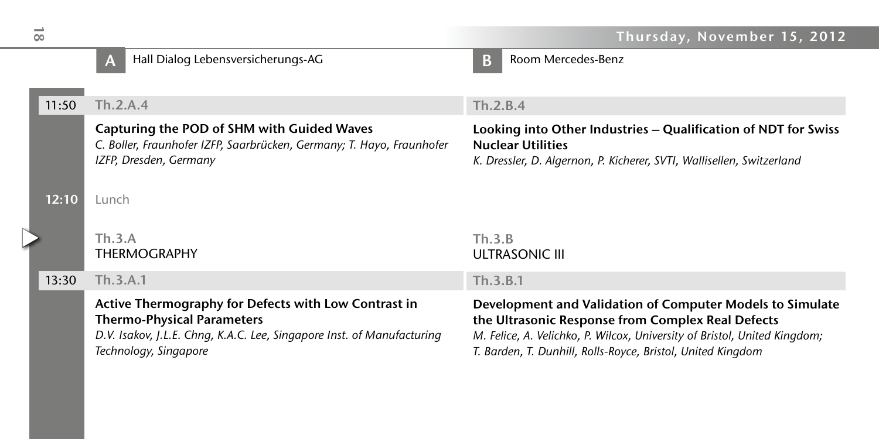|       | Hall Dialog Lebensversicherungs-AG                                                                                                                                                           | Room Mercedes-Benz<br>В                                                                                                                                                                                                                                    |
|-------|----------------------------------------------------------------------------------------------------------------------------------------------------------------------------------------------|------------------------------------------------------------------------------------------------------------------------------------------------------------------------------------------------------------------------------------------------------------|
| 11:50 | Th.2.A.4                                                                                                                                                                                     | Th.2.B.4                                                                                                                                                                                                                                                   |
|       | Capturing the POD of SHM with Guided Waves<br>C. Boller, Fraunhofer IZFP, Saarbrücken, Germany; T. Hayo, Fraunhofer<br>IZFP, Dresden, Germany                                                | Looking into Other Industries – Qualification of NDT for Swiss<br><b>Nuclear Utilities</b><br>K. Dressler, D. Algernon, P. Kicherer, SVTI, Wallisellen, Switzerland                                                                                        |
| 12:10 | Lunch                                                                                                                                                                                        |                                                                                                                                                                                                                                                            |
|       | Th.3.A<br><b>THERMOGRAPHY</b>                                                                                                                                                                | Th.3.B<br><b>ULTRASONIC III</b>                                                                                                                                                                                                                            |
| 13:30 | Th.3.A.1                                                                                                                                                                                     | Th.3.B.1                                                                                                                                                                                                                                                   |
|       | Active Thermography for Defects with Low Contrast in<br><b>Thermo-Physical Parameters</b><br>D.V. Isakov, J.L.E. Chng, K.A.C. Lee, Singapore Inst. of Manufacturing<br>Technology, Singapore | Development and Validation of Computer Models to Simulate<br>the Ultrasonic Response from Complex Real Defects<br>M. Felice, A. Velichko, P. Wilcox, University of Bristol, United Kingdom;<br>T. Barden, T. Dunhill, Rolls-Royce, Bristol, United Kingdom |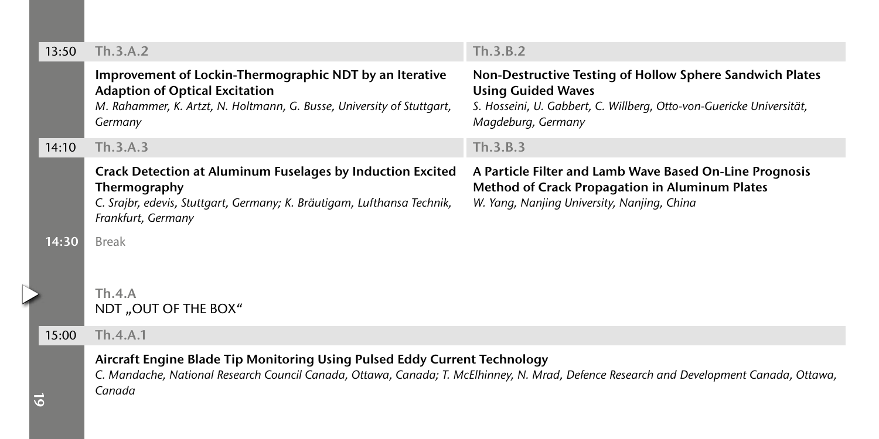| 13:50 | Th.3.A.2                                                                                                                                                                                                                       | Th.3.B.2                                                                                                                                                                            |
|-------|--------------------------------------------------------------------------------------------------------------------------------------------------------------------------------------------------------------------------------|-------------------------------------------------------------------------------------------------------------------------------------------------------------------------------------|
|       | Improvement of Lockin-Thermographic NDT by an Iterative<br><b>Adaption of Optical Excitation</b><br>M. Rahammer, K. Artzt, N. Holtmann, G. Busse, University of Stuttgart,<br>Germany                                          | Non-Destructive Testing of Hollow Sphere Sandwich Plates<br><b>Using Guided Waves</b><br>S. Hosseini, U. Gabbert, C. Willberg, Otto-von-Guericke Universität,<br>Magdeburg, Germany |
| 14:10 | Th.3.A.3                                                                                                                                                                                                                       | Th.3.B.3                                                                                                                                                                            |
|       | <b>Crack Detection at Aluminum Fuselages by Induction Excited</b><br>Thermography<br>C. Srajbr, edevis, Stuttgart, Germany; K. Bräutigam, Lufthansa Technik,<br>Frankfurt, Germany                                             | A Particle Filter and Lamb Wave Based On-Line Prognosis<br><b>Method of Crack Propagation in Aluminum Plates</b><br>W. Yang, Nanjing University, Nanjing, China                     |
| 14:30 | <b>Break</b>                                                                                                                                                                                                                   |                                                                                                                                                                                     |
|       | Th.4.A<br>NDT "OUT OF THE BOX"                                                                                                                                                                                                 |                                                                                                                                                                                     |
| 15:00 | Th.4.A.1                                                                                                                                                                                                                       |                                                                                                                                                                                     |
| ø     | Aircraft Engine Blade Tip Monitoring Using Pulsed Eddy Current Technology<br>C. Mandache, National Research Council Canada, Ottawa, Canada; T. McElhinney, N. Mrad, Defence Research and Development Canada, Ottawa,<br>Canada |                                                                                                                                                                                     |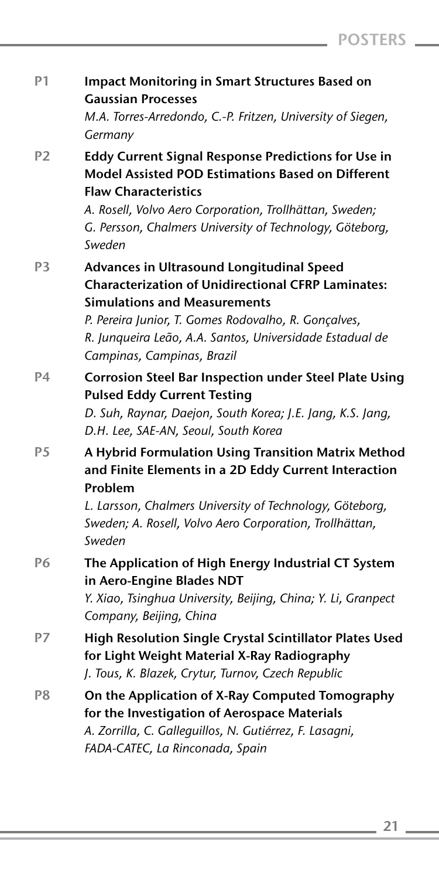| P <sub>1</sub> | <b>Impact Monitoring in Smart Structures Based on</b><br><b>Gaussian Processes</b><br>M.A. Torres-Arredondo, C.-P. Fritzen, University of Siegen,<br>Germany                                                                                                                                    |
|----------------|-------------------------------------------------------------------------------------------------------------------------------------------------------------------------------------------------------------------------------------------------------------------------------------------------|
| P <sub>2</sub> | <b>Eddy Current Signal Response Predictions for Use in</b><br>Model Assisted POD Estimations Based on Different<br><b>Flaw Characteristics</b><br>A. Rosell, Volvo Aero Corporation, Trollhättan, Sweden;<br>G. Persson, Chalmers University of Technology, Göteborg,<br>Sweden                 |
| P <sub>3</sub> | Advances in Ultrasound Longitudinal Speed<br><b>Characterization of Unidirectional CFRP Laminates:</b><br><b>Simulations and Measurements</b><br>P. Pereira Junior, T. Gomes Rodovalho, R. Gonçalves,<br>R. Junqueira Leão, A.A. Santos, Universidade Estadual de<br>Campinas, Campinas, Brazil |
| P <sub>4</sub> | <b>Corrosion Steel Bar Inspection under Steel Plate Using</b><br><b>Pulsed Eddy Current Testing</b><br>D. Suh, Raynar, Daejon, South Korea; J.E. Jang, K.S. Jang,<br>D.H. Lee, SAE-AN, Seoul, South Korea                                                                                       |
| P <sub>5</sub> | A Hybrid Formulation Using Transition Matrix Method<br>and Finite Elements in a 2D Eddy Current Interaction<br>Problem<br>L. Larsson, Chalmers University of Technology, Göteborg,<br>Sweden; A. Rosell, Volvo Aero Corporation, Trollhättan,<br>Sweden                                         |
| P6             | The Application of High Energy Industrial CT System<br>in Aero-Engine Blades NDT<br>Y. Xiao, Tsinghua University, Beijing, China; Y. Li, Granpect<br>Company, Beijing, China                                                                                                                    |
| P7             | High Resolution Single Crystal Scintillator Plates Used<br>for Light Weight Material X-Ray Radiography<br>J. Tous, K. Blazek, Crytur, Turnov, Czech Republic                                                                                                                                    |
| P <sub>8</sub> | On the Application of X-Ray Computed Tomography<br>for the Investigation of Aerospace Materials<br>A. Zorrilla, C. Galleguillos, N. Gutiérrez, F. Lasagni,<br>FADA-CATEC, La Rinconada, Spain                                                                                                   |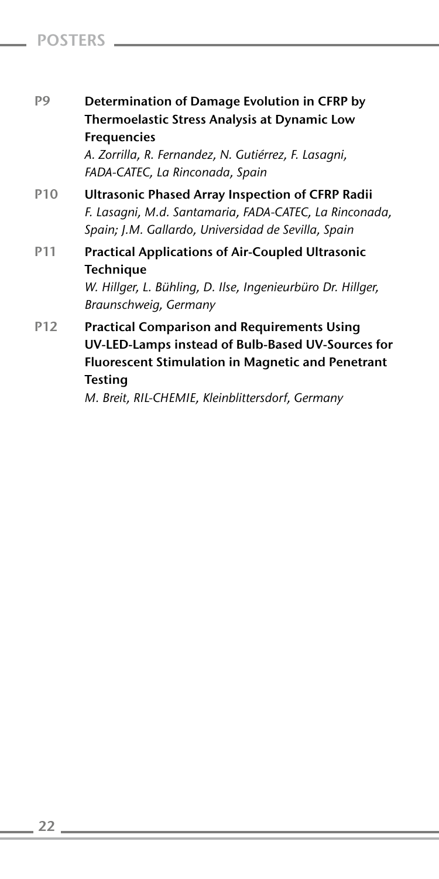# Friday, November 16, 2012 Posters

- P9 Determination of Damage Evolution in CFRP by Thermoelastic Stress Analysis at Dynamic Low Frequencies *A. Zorrilla, R. Fernandez, N. Gutiérrez, F. Lasagni, FADA-CATEC, La Rinconada, Spain*
- P10 Ultrasonic Phased Array Inspection of CFRP Radii *F. Lasagni, M.d. Santamaria, FADA-CATEC, La Rinconada, Spain; J.M. Gallardo, Universidad de Sevilla, Spain*
- P11 Practical Applications of Air-Coupled Ultrasonic **Technique**

*W. Hillger, L. Bühling, D. Ilse, Ingenieurbüro Dr. Hillger, Braunschweig, Germany*

P12 Practical Comparison and Requirements Using UV-LED-Lamps instead of Bulb-Based UV-Sources for Fluorescent Stimulation in Magnetic and Penetrant **Testing** 

*M. Breit, RIL-CHEMIE, Kleinblittersdorf, Germany*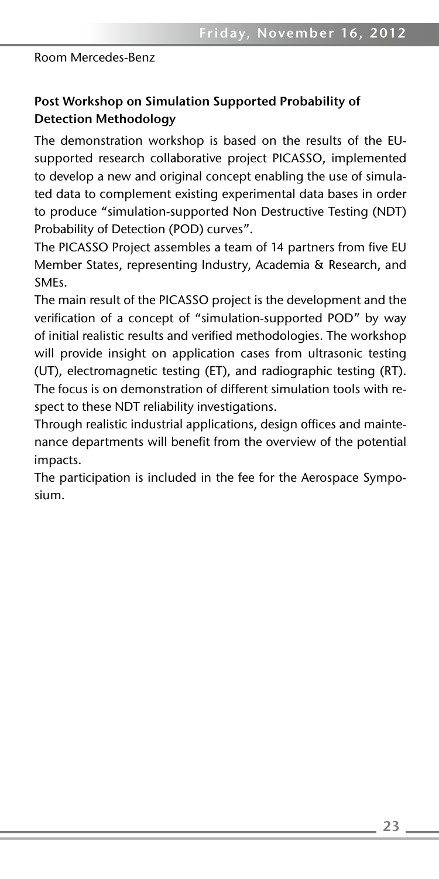# Post Workshop on Simulation Supported Probability of Detection Methodology

The demonstration workshop is based on the results of the EUsupported research collaborative project PICASSO, implemented to develop a new and original concept enabling the use of simulated data to complement existing experimental data bases in order to produce "simulation-supported Non Destructive Testing (NDT) Probability of Detection (POD) curves".

The PICASSO Project assembles a team of 14 partners from five EU Member States, representing Industry, Academia & Research, and SMEs.

The main result of the PICASSO project is the development and the verification of a concept of "simulation-supported POD" by way of initial realistic results and verified methodologies. The workshop will provide insight on application cases from ultrasonic testing (UT), electromagnetic testing (ET), and radiographic testing (RT). The focus is on demonstration of different simulation tools with respect to these NDT reliability investigations.

Through realistic industrial applications, design offices and maintenance departments will benefit from the overview of the potential impacts.

The participation is included in the fee for the Aerospace Symposium.